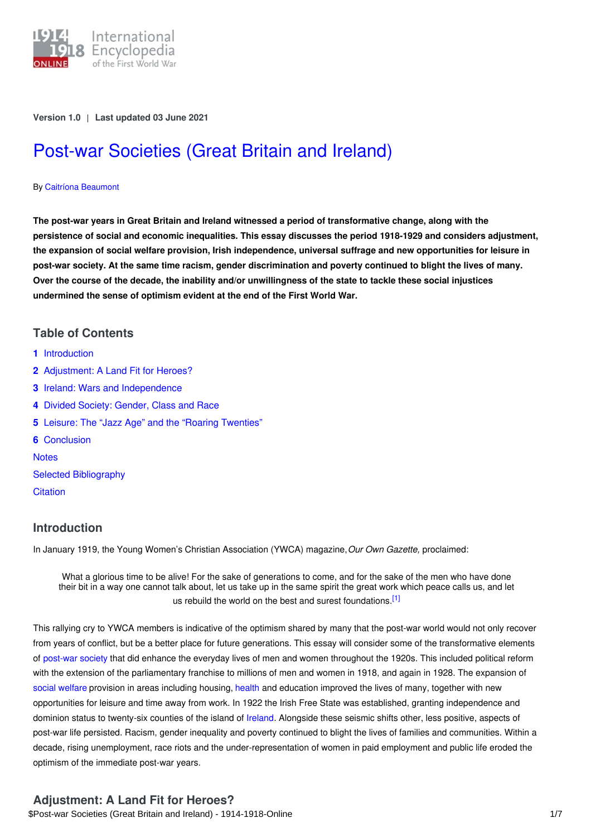

**Version 1.0** | **Last updated 03 June 2021**

# Post-war [Societies](https://encyclopedia.1914-1918-online.net/article/post-war_societies_great_britain_and_ireland) (Great Britain and Ireland)

#### By Caitríona [Beaumont](https://encyclopedia.1914-1918-online.net/contributors/Caitr%C3%ADona_Beaumont)

The post-war years in Great Britain and Ireland witnessed a period of transformative change, along with the **persistence of social and economic inequalities. This essay discusses the period 1918-1929 and considers adjustment,** the expansion of social welfare provision, Irish independence, universal suffrage and new opportunities for leisure in post-war society. At the same time racism, gender discrimination and poverty continued to blight the lives of many. Over the course of the decade, the inability and/or unwillingness of the state to tackle these social injustices **undermined the sense of optimism evident at the end of the First World War.**

## **Table of Contents**

- **1** [Introduction](#page-0-0)
- **2** [Adjustment:](#page-0-1) A Land Fit for Heroes?
- **3** Ireland: Wars and [Independence](#page-1-0)
- **4** Divided Society: [Gender,](#page-2-0) Class and Race
- **5** Leisure: The "Jazz Age" and the "Roaring [Twenties"](#page-3-0)
- **6** [Conclusion](#page-4-0) **[Notes](#page-4-1)**
- Selected [Bibliography](#page-5-0)
- **[Citation](#page-6-0)**

## <span id="page-0-0"></span>**Introduction**

In January 1919, the Young Women's Christian Association (YWCA) magazine,*Our Own Gazette,* proclaimed:

<span id="page-0-2"></span>What a glorious time to be alive! For the sake of generations to come, and for the sake of the men who have done their bit in a way one cannot talk about, let us take up in the same spirit the great work which peace calls us, and let us rebuild the world on the best and surest foundations.<sup>[\[1\]](#page-4-2)</sup>

This rallying cry to YWCA members is indicative of the optimism shared by many that the post-war world would not only recover from years of conflict, but be a better place for future generations. This essay will consider some of the transformative elements of [post-war](http://ui:CeDiS1418@encyclopedia.1914-1918-online.net/article/post-war_societies) society that did enhance the everyday lives of men and women throughout the 1920s. This included political reform with the extension of the parliamentary franchise to millions of men and women in 1918, and again in 1928. The expansion of social [welfare](http://ui:CeDiS1418@encyclopedia.1914-1918-online.net/article/post-war_welfare_policies) provision in areas including housing, [health](http://ui:CeDiS1418@encyclopedia.1914-1918-online.net/article/health_disease_mortality_demographic_effects) and education improved the lives of many, together with new opportunities for leisure and time away from work. In 1922 the Irish Free State was established, granting independence and dominion status to twenty-six counties of the island of [Ireland](http://ui:CeDiS1418@encyclopedia.1914-1918-online.net/article/ireland). Alongside these seismic shifts other, less positive, aspects of post-war life persisted. Racism, gender inequality and poverty continued to blight the lives of families and communities. Within a decade, rising unemployment, race riots and the under-representation of women in paid employment and public life eroded the optimism of the immediate post-war years.

## <span id="page-0-1"></span>**Adjustment: A Land Fit for Heroes?**

\$Post-war Societies (Great Britain and Ireland) - 1914-1918-Online 1/7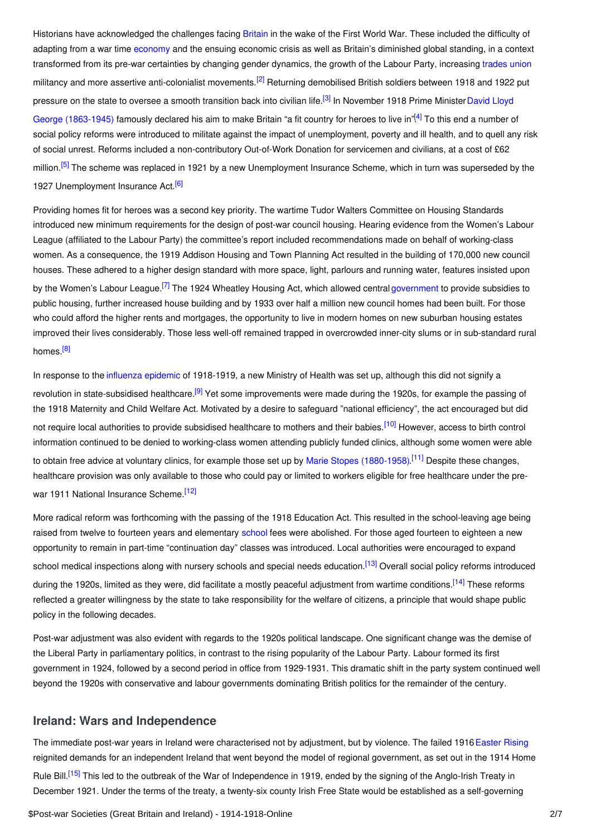<span id="page-1-3"></span><span id="page-1-2"></span><span id="page-1-1"></span>Historians have acknowledged the challenges facing [Britain](http://ui:CeDiS1418@encyclopedia.1914-1918-online.net/article/great_britain) in the wake of the First World War. These included the difficulty of adapting from a war time [economy](http://ui:CeDiS1418@encyclopedia.1914-1918-online.net/article/organization_of_war_economies_great_britain_and_ireland) and the ensuing economic crisis as well as Britain's diminished global standing, in a context transformed from its pre-war certainties by changing gender dynamics, the growth of the Labour Party, increasing [trades](http://ui:CeDiS1418@encyclopedia.1914-1918-online.net/article/labour_labour_movements_trade_unions_and_strikes_great_britain_and_ireland) union militancy and more assertive anti-colonialist movements.<sup>[\[2\]](#page-4-3)</sup> Returning demobilised British soldiers between 1918 and 1922 put pressure on the state to oversee a smooth transition back into civilian life.<sup>[\[3\]](#page-4-4)</sup> In November 1918 Prime Minister David Lloyd George (1863-1945) famously declared his aim to make Britain "a fit country for heroes to live in"<sup>[\[4\]](#page-4-5)</sup> To this end a number of social policy reforms were introduced to militate against the impact of unemployment, poverty and ill health, and to quell any risk of social unrest. Reforms included a non-contributory Out-of-Work Donation for servicemen and civilians, at a cost of £62 million.<sup>[\[5\]](#page-4-6)</sup> The scheme was replaced in 1921 by a new Unemployment Insurance Scheme, which in turn was superseded by the 1927 Unemployment Insurance Act.<sup>[\[6\]](#page-4-7)</sup>

<span id="page-1-6"></span><span id="page-1-5"></span><span id="page-1-4"></span>Providing homes fit for heroes was a second key priority. The wartime Tudor Walters Committee on Housing Standards introduced new minimum requirements for the design of post-war council housing. Hearing evidence from the Women's Labour League (affiliated to the Labour Party) the committee's report included recommendations made on behalf of working-class women. As a consequence, the 1919 Addison Housing and Town Planning Act resulted in the building of 170,000 new council houses. These adhered to a higher design standard with more space, light, parlours and running water, features insisted upon by the Women's Labour League.<sup>[\[7\]](#page-4-8)</sup> The 1924 Wheatley Housing Act, which allowed central [government](http://ui:CeDiS1418@encyclopedia.1914-1918-online.net/article/governments_parliaments_and_parties_great_britain_and_ireland) to provide subsidies to public housing, further increased house building and by 1933 over half a million new council homes had been built. For those who could afford the higher rents and mortgages, the opportunity to live in modern homes on new suburban housing estates improved their lives considerably. Those less well-off remained trapped in overcrowded inner-city slums or in sub-standard rural homes.<sup>[\[8\]](#page-4-9)</sup>

<span id="page-1-9"></span><span id="page-1-8"></span><span id="page-1-7"></span>In response to the [influenza](http://ui:CeDiS1418@encyclopedia.1914-1918-online.net/article/influenza_pandemic) epidemic of 1918-1919, a new Ministry of Health was set up, although this did not signify a revolution in state-subsidised healthcare.<sup>[\[9\]](#page-4-10)</sup> Yet some improvements were made during the 1920s, for example the passing of the 1918 Maternity and Child Welfare Act. Motivated by a desire to safeguard "national efficiency", the act encouraged but did not require local authorities to provide subsidised healthcare to mothers and their babies.<sup>[\[10\]](#page-4-11)</sup> However, access to birth control information continued to be denied to working-class women attending publicly funded clinics, although some women were able to obtain free advice at voluntary clinics, for example those set up by Marie Stopes [\(1880-1958\)](http://ui:CeDiS1418@encyclopedia.1914-1918-online.net/index/names/121726940).<sup>[\[11\]](#page-4-12)</sup> Despite these changes, healthcare provision was only available to those who could pay or limited to workers eligible for free healthcare under the pre-war 1911 National Insurance Scheme.<sup>[\[12\]](#page-4-13)</sup>

<span id="page-1-12"></span><span id="page-1-11"></span><span id="page-1-10"></span>More radical reform was forthcoming with the passing of the 1918 Education Act. This resulted in the school-leaving age being raised from twelve to fourteen years and elementary [school](http://ui:CeDiS1418@encyclopedia.1914-1918-online.net/article/schools_and_universities) fees were abolished. For those aged fourteen to eighteen a new opportunity to remain in part-time "continuation day" classes was introduced. Local authorities were encouraged to expand school medical inspections along with nursery schools and special needs education.<sup>[\[13\]](#page-4-14)</sup> Overall social policy reforms introduced during the 1920s, limited as they were, did facilitate a mostly peaceful adjustment from wartime conditions.<sup>[\[14\]](#page-4-15)</sup> These reforms reflected a greater willingness by the state to take responsibility for the welfare of citizens, a principle that would shape public policy in the following decades.

<span id="page-1-13"></span>Post-war adjustment was also evident with regards to the 1920s political landscape. One significant change was the demise of the Liberal Party in parliamentary politics, in contrast to the rising popularity of the Labour Party. Labour formed its first government in 1924, followed by a second period in office from 1929-1931. This dramatic shift in the party system continued well beyond the 1920s with conservative and labour governments dominating British politics for the remainder of the century.

## <span id="page-1-0"></span>**Ireland: Wars and Independence**

<span id="page-1-14"></span>The immediate post-war years in Ireland were characterised not by adjustment, but by violence. The failed 1916 [Easter](http://ui:CeDiS1418@encyclopedia.1914-1918-online.net/article/easter_rising_great_britain_and_ireland) Rising reignited demands for an independent Ireland that went beyond the model of regional government, as set out in the 1914 Home Rule Bill.<sup>[\[15\]](#page-5-1)</sup> This led to the outbreak of the War of Independence in 1919, ended by the signing of the Anglo-Irish Treaty in December 1921. Under the terms of the treaty, a twenty-six county Irish Free State would be established as a self-governing

\$Post-war Societies (Great Britain and Ireland) - 1914-1918-Online 2/7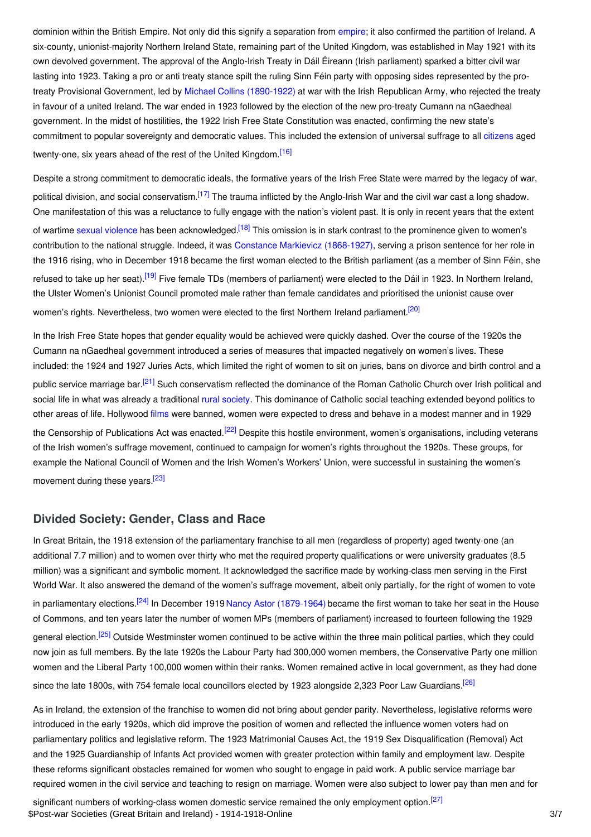dominion within the British Empire. Not only did this signify a separation from [empire](http://ui:CeDiS1418@encyclopedia.1914-1918-online.net/article/empire); it also confirmed the partition of Ireland. A six-county, unionist-majority Northern Ireland State, remaining part of the United Kingdom, was established in May 1921 with its own devolved government. The approval of the Anglo-Irish Treaty in Dáil Éireann (Irish parliament) sparked a bitter civil war lasting into 1923. Taking a pro or anti treaty stance spilt the ruling Sinn Féin party with opposing sides represented by the protreaty Provisional Government, led by Michael Collins [\(1890-1922\)](http://ui:CeDiS1418@encyclopedia.1914-1918-online.net/index/names/11866977X) at war with the Irish Republican Army, who rejected the treaty in favour of a united Ireland. The war ended in 1923 followed by the election of the new pro-treaty Cumann na nGaedheal government. In the midst of hostilities, the 1922 Irish Free State Constitution was enacted, confirming the new state's commitment to popular sovereignty and democratic values. This included the extension of universal suffrage to all [citizens](http://ui:CeDiS1418@encyclopedia.1914-1918-online.net/article/controversy_war-related_changes_in_gender_relations_the_issue_of_womens_citizenship) aged twenty-one, six years ahead of the rest of the United Kingdom.<sup>[\[16\]](#page-5-2)</sup>

<span id="page-2-3"></span><span id="page-2-2"></span><span id="page-2-1"></span>Despite a strong commitment to democratic ideals, the formative years of the Irish Free State were marred by the legacy of war, political division, and social conservatism.<sup>[\[17\]](#page-5-3)</sup> The trauma inflicted by the Anglo-Irish War and the civil war cast a long shadow. One manifestation of this was a reluctance to fully engage with the nation's violent past. It is only in recent years that the extent of wartime sexual [violence](http://ui:CeDiS1418@encyclopedia.1914-1918-online.net/article/rape) has been acknowledged.<sup>[\[18\]](#page-5-4)</sup> This omission is in stark contrast to the prominence given to women's contribution to the national struggle. Indeed, it was Constance Markievicz [\(1868-1927\)](http://ui:CeDiS1418@encyclopedia.1914-1918-online.net/index/names/118577980), serving a prison sentence for her role in the 1916 rising, who in December 1918 became the first woman elected to the British parliament (as a member of Sinn Féin, she refused to take up her seat).<sup>[\[19\]](#page-5-5)</sup> Five female TDs (members of parliament) were elected to the Dáil in 1923. In Northern Ireland, the Ulster Women's Unionist Council promoted male rather than female candidates and prioritised the unionist cause over women's rights. Nevertheless, two women were elected to the first Northern Ireland parliament.<sup>[\[20\]](#page-5-6)</sup>

<span id="page-2-6"></span><span id="page-2-5"></span><span id="page-2-4"></span>In the Irish Free State hopes that gender equality would be achieved were quickly dashed. Over the course of the 1920s the Cumann na nGaedheal government introduced a series of measures that impacted negatively on women's lives. These included: the 1924 and 1927 Juries Acts, which limited the right of women to sit on juries, bans on divorce and birth control and a public service marriage bar.<sup>[\[21\]](#page-5-7)</sup> Such conservatism reflected the dominance of the Roman Catholic Church over Irish political and social life in what was already a traditional rural [society](http://ui:CeDiS1418@encyclopedia.1914-1918-online.net/article/rural_society). This dominance of Catholic social teaching extended beyond politics to other areas of life. Hollywood [films](http://ui:CeDiS1418@encyclopedia.1914-1918-online.net/article/filmcinema) were banned, women were expected to dress and behave in a modest manner and in 1929 the Censorship of Publications Act was enacted.<sup>[\[22\]](#page-5-8)</sup> Despite this hostile environment, women's organisations, including veterans of the Irish women's suffrage movement, continued to campaign for women's rights throughout the 1920s. These groups, for example the National Council of Women and the Irish Women's Workers' Union, were successful in sustaining the women's

<span id="page-2-8"></span><span id="page-2-7"></span>movement during these years.<sup>[\[23\]](#page-5-9)</sup>

## <span id="page-2-0"></span>**Divided Society: Gender, Class and Race**

<span id="page-2-9"></span>In Great Britain, the 1918 extension of the parliamentary franchise to all men (regardless of property) aged twenty-one (an additional 7.7 million) and to women over thirty who met the required property qualifications or were university graduates (8.5 million) was a significant and symbolic moment. It acknowledged the sacrifice made by working-class men serving in the First World War. It also answered the demand of the women's suffrage movement, albeit only partially, for the right of women to vote in parliamentary elections.<sup>[\[24\]](#page-5-10)</sup> In December 1919 Nancy Astor [\(1879-1964\)](http://ui:CeDiS1418@encyclopedia.1914-1918-online.net/index/names/118835009) became the first woman to take her seat in the House of Commons, and ten years later the number of women MPs (members of parliament) increased to fourteen following the 1929 general election.<sup>[\[25\]](#page-5-11)</sup> Outside Westminster women continued to be active within the three main political parties, which they could now join as full members. By the late 1920s the Labour Party had 300,000 women members, the Conservative Party one million women and the Liberal Party 100,000 women within their ranks. Women remained active in local government, as they had done

<span id="page-2-11"></span><span id="page-2-10"></span>since the late 1800s, with 754 female local councillors elected by 1923 alongside 2,323 Poor Law Guardians.<sup>[\[26\]](#page-5-12)</sup>

As in Ireland, the extension of the franchise to women did not bring about gender parity. Nevertheless, legislative reforms were introduced in the early 1920s, which did improve the position of women and reflected the influence women voters had on parliamentary politics and legislative reform. The 1923 Matrimonial Causes Act, the 1919 Sex Disqualification (Removal) Act and the 1925 Guardianship of Infants Act provided women with greater protection within family and employment law. Despite these reforms significant obstacles remained for women who sought to engage in paid work. A public service marriage bar required women in the civil service and teaching to resign on marriage. Women were also subject to lower pay than men and for

<span id="page-2-12"></span>significant numbers of working-class women domestic service remained the only employment option.<sup>[\[27\]](#page-5-13)</sup> \$Post-war Societies (Great Britain and Ireland) - 1914-1918-Online 3/7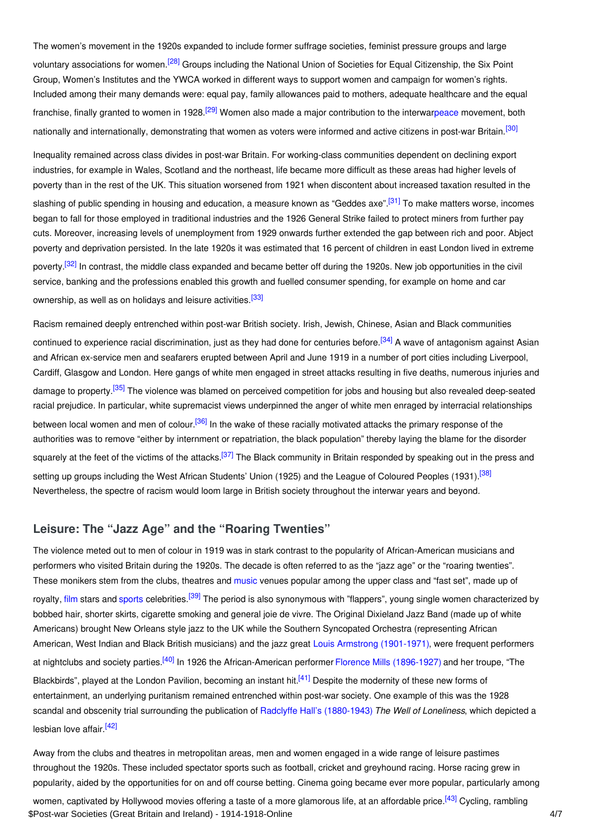<span id="page-3-1"></span>The women's movement in the 1920s expanded to include former suffrage societies, feminist pressure groups and large voluntary associations for women.<sup>[\[28\]](#page-5-14)</sup> Groups including the National Union of Societies for Equal Citizenship, the Six Point Group, Women's Institutes and the YWCA worked in different ways to support women and campaign for women's rights. Included among their many demands were: equal pay, family allowances paid to mothers, adequate healthcare and the equal franchise, finally granted to women in 1928.<sup>[\[29\]](#page-5-15)</sup> Women also made a major contribution to the interwa[rpeace](http://ui:CeDiS1418@encyclopedia.1914-1918-online.net/article/peace_initiatives) movement, both nationally and internationally, demonstrating that women as voters were informed and active citizens in post-war Britain.<sup>[\[30\]](#page-5-16)</sup>

<span id="page-3-4"></span><span id="page-3-3"></span><span id="page-3-2"></span>Inequality remained across class divides in post-war Britain. For working-class communities dependent on declining export industries, for example in Wales, Scotland and the northeast, life became more difficult as these areas had higher levels of poverty than in the rest of the UK. This situation worsened from 1921 when discontent about increased taxation resulted in the slashing of public spending in housing and education, a measure known as "Geddes axe".<sup>[\[31\]](#page-5-17)</sup> To make matters worse, incomes began to fall for those employed in traditional industries and the 1926 General Strike failed to protect miners from further pay cuts. Moreover, increasing levels of unemployment from 1929 onwards further extended the gap between rich and poor. Abject poverty and deprivation persisted. In the late 1920s it was estimated that 16 percent of children in east London lived in extreme poverty.<sup>[\[32\]](#page-5-18)</sup> In contrast, the middle class expanded and became better off during the 1920s. New job opportunities in the civil service, banking and the professions enabled this growth and fuelled consumer spending, for example on home and car ownership, as well as on holidays and leisure activities.<sup>[\[33\]](#page-5-19)</sup>

<span id="page-3-9"></span><span id="page-3-8"></span><span id="page-3-7"></span><span id="page-3-6"></span><span id="page-3-5"></span>Racism remained deeply entrenched within post-war British society. Irish, Jewish, Chinese, Asian and Black communities continued to experience racial discrimination, just as they had done for centuries before.<sup>[\[34\]](#page-5-20)</sup> A wave of antagonism against Asian and African ex-service men and seafarers erupted between April and June 1919 in a number of port cities including Liverpool, Cardiff, Glasgow and London. Here gangs of white men engaged in street attacks resulting in five deaths, numerous injuries and damage to property.<sup>[\[35\]](#page-5-21)</sup> The violence was blamed on perceived competition for jobs and housing but also revealed deep-seated racial prejudice. In particular, white supremacist views underpinned the anger of white men enraged by interracial relationships between local women and men of colour.<sup>[\[36\]](#page-5-22)</sup> In the wake of these racially motivated attacks the primary response of the authorities was to remove "either by internment or repatriation, the black population" thereby laying the blame for the disorder squarely at the feet of the victims of the attacks.<sup>[\[37\]](#page-5-23)</sup> The Black community in Britain responded by speaking out in the press and setting up groups including the West African Students' Union (1925) and the League of Coloured Peoples (1931).<sup>[\[38\]](#page-5-24)</sup> Nevertheless, the spectre of racism would loom large in British society throughout the interwar years and beyond.

## <span id="page-3-11"></span><span id="page-3-10"></span><span id="page-3-0"></span>**Leisure: The "Jazz Age" and the "Roaring Twenties"**

<span id="page-3-12"></span>The violence meted out to men of colour in 1919 was in stark contrast to the popularity of African-American musicians and performers who visited Britain during the 1920s. The decade is often referred to as the "jazz age" or the "roaring twenties". These monikers stem from the clubs, theatres and [music](http://ui:CeDiS1418@encyclopedia.1914-1918-online.net/article/music) venues popular among the upper class and "fast set", made up of royalty, [film](http://ui:CeDiS1418@encyclopedia.1914-1918-online.net/article/filmcinema_great_britain) stars and [sports](http://ui:CeDiS1418@encyclopedia.1914-1918-online.net/article/ideologies_of_sport) celebrities.<sup>[\[39\]](#page-5-25)</sup> The period is also synonymous with "flappers", young single women characterized by bobbed hair, shorter skirts, cigarette smoking and general joie de vivre. The Original Dixieland Jazz Band (made up of white Americans) brought New Orleans style jazz to the UK while the Southern Syncopated Orchestra (representing African American, West Indian and Black British musicians) and the jazz great Louis Armstrong [\(1901-1971\)](http://ui:CeDiS1418@encyclopedia.1914-1918-online.net/index/names/118504053), were frequent performers at nightclubs and society parties.<sup>[\[40\]](#page-5-26)</sup> In 1926 the African-American performer Florence Mills [\(1896-1927\)](http://ui:CeDiS1418@encyclopedia.1914-1918-online.net/index/names/130000833) and her troupe, "The Blackbirds", played at the London Pavilion, becoming an instant hit.<sup>[\[41\]](#page-5-27)</sup> Despite the modernity of these new forms of entertainment, an underlying puritanism remained entrenched within post-war society. One example of this was the 1928 scandal and obscenity trial surrounding the publication of Radclyffe Hall's [\(1880-1943\)](http://ui:CeDiS1418@encyclopedia.1914-1918-online.net/index/names/118639463) *The Well of Loneliness*, which depicted a lesbian love affair.<sup>[\[42\]](#page-5-28)</sup>

<span id="page-3-16"></span><span id="page-3-15"></span><span id="page-3-14"></span><span id="page-3-13"></span>Away from the clubs and theatres in metropolitan areas, men and women engaged in a wide range of leisure pastimes throughout the 1920s. These included spectator sports such as football, cricket and greyhound racing. Horse racing grew in popularity, aided by the opportunities for on and off course betting. Cinema going became ever more popular, particularly among

women, captivated by Hollywood movies offering a taste of a more glamorous life, at an affordable price.<sup>[\[43\]](#page-5-29)</sup> Cycling, rambling \$Post-war Societies (Great Britain and Ireland) - 1914-1918-Online 4/7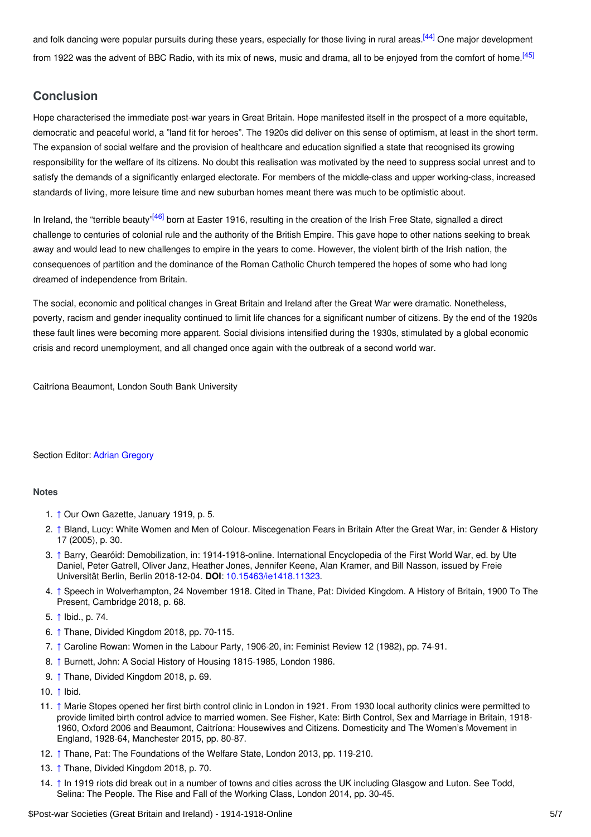<span id="page-4-17"></span><span id="page-4-16"></span>and folk dancing were popular pursuits during these years, especially for those living in rural areas.<sup>[\[44\]](#page-5-30)</sup> One major development from 1922 was the advent of BBC Radio, with its mix of news, music and drama, all to be enjoyed from the comfort of home.<sup>[\[45\]](#page-5-31)</sup>

## <span id="page-4-0"></span>**Conclusion**

Hope characterised the immediate post-war years in Great Britain. Hope manifested itself in the prospect of a more equitable, democratic and peaceful world, a "land fit for heroes". The 1920s did deliver on this sense of optimism, at least in the short term. The expansion of social welfare and the provision of healthcare and education signified a state that recognised its growing responsibility for the welfare of its citizens. No doubt this realisation was motivated by the need to suppress social unrest and to satisfy the demands of a significantly enlarged electorate. For members of the middle-class and upper working-class, increased standards of living, more leisure time and new suburban homes meant there was much to be optimistic about.

<span id="page-4-18"></span>In Ireland, the "terrible beauty"<sup>[\[46\]](#page-5-32)</sup> born at Easter 1916, resulting in the creation of the Irish Free State, signalled a direct challenge to centuries of colonial rule and the authority of the British Empire. This gave hope to other nations seeking to break away and would lead to new challenges to empire in the years to come. However, the violent birth of the Irish nation, the consequences of partition and the dominance of the Roman Catholic Church tempered the hopes of some who had long dreamed of independence from Britain.

The social, economic and political changes in Great Britain and Ireland after the Great War were dramatic. Nonetheless, poverty, racism and gender inequality continued to limit life chances for a significant number of citizens. By the end of the 1920s these fault lines were becoming more apparent. Social divisions intensified during the 1930s, stimulated by a global economic crisis and record unemployment, and all changed once again with the outbreak of a second world war.

Caitríona Beaumont, London South Bank University

### Section Editor: Adrian [Gregory](https://encyclopedia.1914-1918-online.net/contributors/Adrian_Gregory)

### <span id="page-4-1"></span>**Notes**

- <span id="page-4-2"></span>1. [↑](#page-0-2) Our Own Gazette, January 1919, p. 5.
- <span id="page-4-3"></span>2. [↑](#page-1-1) Bland, Lucy: White Women and Men of Colour. Miscegenation Fears in Britain After the Great War, in: Gender & History 17 (2005), p. 30.
- <span id="page-4-4"></span>3. [↑](#page-1-2) Barry, Gearóid: Demobilization, in: 1914-1918-online. International Encyclopedia of the First World War, ed. by Ute Daniel, Peter Gatrell, Oliver Janz, Heather Jones, Jennifer Keene, Alan Kramer, and Bill Nasson, issued by Freie Universität Berlin, Berlin 2018-12-04. **DOI**: [10.15463/ie1418.11323](http://dx.doi.org/10.15463/ie1418.11323).
- <span id="page-4-5"></span>4. [↑](#page-1-3) Speech in Wolverhampton, 24 November 1918. Cited in Thane, Pat: Divided Kingdom. A History of Britain, 1900 To The Present, Cambridge 2018, p. 68.
- <span id="page-4-6"></span>5. [↑](#page-1-4) Ibid., p. 74.
- <span id="page-4-7"></span>6. [↑](#page-1-5) Thane, Divided Kingdom 2018, pp. 70-115.
- <span id="page-4-8"></span>7. [↑](#page-1-6) Caroline Rowan: Women in the Labour Party, 1906-20, in: Feminist Review 12 (1982), pp. 74-91.
- <span id="page-4-9"></span>8. [↑](#page-1-7) Burnett, John: A Social History of Housing 1815-1985, London 1986.
- <span id="page-4-10"></span>9. [↑](#page-1-8) Thane, Divided Kingdom 2018, p. 69.
- <span id="page-4-11"></span>10. [↑](#page-1-9) Ibid.
- <span id="page-4-12"></span>11. [↑](#page-1-10) Marie Stopes opened her first birth control clinic in London in 1921. From 1930 local authority clinics were permitted to provide limited birth control advice to married women. See Fisher, Kate: Birth Control, Sex and Marriage in Britain, 1918- 1960, Oxford 2006 and Beaumont, Caitríona: Housewives and Citizens. Domesticity and The Women's Movement in England, 1928-64, Manchester 2015, pp. 80-87.
- <span id="page-4-13"></span>12. [↑](#page-1-11) Thane, Pat: The Foundations of the Welfare State, London 2013, pp. 119-210.
- <span id="page-4-14"></span>13. [↑](#page-1-12) Thane, Divided Kingdom 2018, p. 70.
- <span id="page-4-15"></span>14. [↑](#page-1-13) In 1919 riots did break out in a number of towns and cities across the UK including Glasgow and Luton. See Todd, Selina: The People. The Rise and Fall of the Working Class, London 2014, pp. 30-45.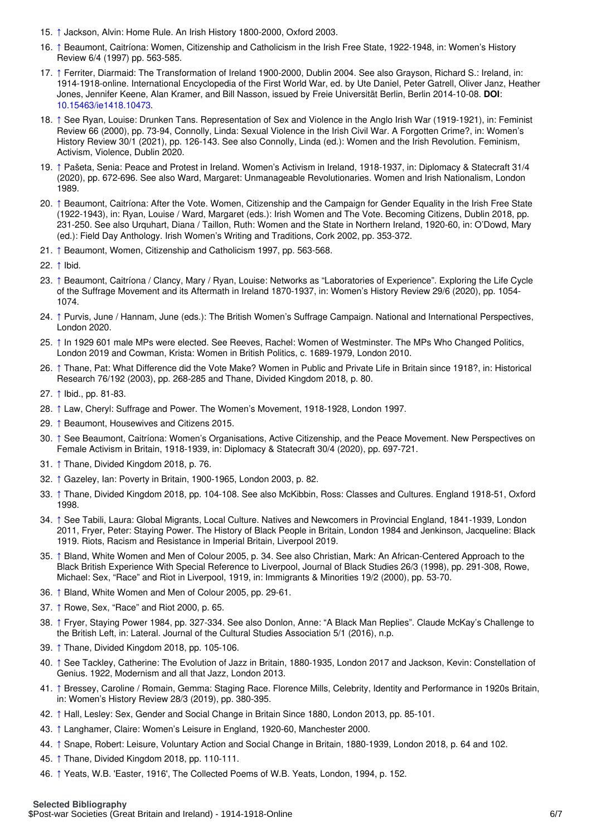- <span id="page-5-1"></span>15. [↑](#page-1-14) Jackson, Alvin: Home Rule. An Irish History 1800-2000, Oxford 2003.
- <span id="page-5-2"></span>16. [↑](#page-2-1) Beaumont, Caitríona: Women, Citizenship and Catholicism in the Irish Free State, 1922-1948, in: Women's History Review 6/4 (1997) pp. 563-585.
- <span id="page-5-3"></span>17. [↑](#page-2-2) Ferriter, Diarmaid: The Transformation of Ireland 1900-2000, Dublin 2004. See also Grayson, Richard S.: Ireland, in: 1914-1918-online. International Encyclopedia of the First World War, ed. by Ute Daniel, Peter Gatrell, Oliver Janz, Heather Jones, Jennifer Keene, Alan Kramer, and Bill Nasson, issued by Freie Universität Berlin, Berlin 2014-10-08. **DOI**: [10.15463/ie1418.10473](http://dx.doi.org/10.15463/ie1418.10473).
- <span id="page-5-4"></span>18. [↑](#page-2-3) See Ryan, Louise: Drunken Tans. Representation of Sex and Violence in the Anglo Irish War (1919-1921), in: Feminist Review 66 (2000), pp. 73-94, Connolly, Linda: Sexual Violence in the Irish Civil War. A Forgotten Crime?, in: Women's History Review 30/1 (2021), pp. 126-143. See also Connolly, Linda (ed.): Women and the Irish Revolution. Feminism, Activism, Violence, Dublin 2020.
- <span id="page-5-5"></span>19. [↑](#page-2-4) Pašeta, Senia: Peace and Protest in Ireland. Women's Activism in Ireland, 1918-1937, in: Diplomacy & Statecraft 31/4 (2020), pp. 672-696. See also Ward, Margaret: Unmanageable Revolutionaries. Women and Irish Nationalism, London 1989.
- <span id="page-5-6"></span>20. [↑](#page-2-5) Beaumont, Caitríona: After the Vote. Women, Citizenship and the Campaign for Gender Equality in the Irish Free State (1922-1943), in: Ryan, Louise / Ward, Margaret (eds.): Irish Women and The Vote. Becoming Citizens, Dublin 2018, pp. 231-250. See also Urquhart, Diana / Taillon, Ruth: Women and the State in Northern Ireland, 1920-60, in: O'Dowd, Mary (ed.): Field Day Anthology. Irish Women's Writing and Traditions, Cork 2002, pp. 353-372.
- <span id="page-5-7"></span>21. [↑](#page-2-6) Beaumont, Women, Citizenship and Catholicism 1997, pp. 563-568.
- <span id="page-5-8"></span>22. [↑](#page-2-7) Ibid.
- <span id="page-5-9"></span>23. [↑](#page-2-8) Beaumont, Caitríona / Clancy, Mary / Ryan, Louise: Networks as "Laboratories of Experience". Exploring the Life Cycle of the Suffrage Movement and its Aftermath in Ireland 1870-1937, in: Women's History Review 29/6 (2020), pp. 1054- 1074.
- <span id="page-5-10"></span>24. [↑](#page-2-9) Purvis, June / Hannam, June (eds.): The British Women's Suffrage Campaign. National and International Perspectives, London 2020.
- <span id="page-5-11"></span>25. [↑](#page-2-10) In 1929 601 male MPs were elected. See Reeves, Rachel: Women of Westminster. The MPs Who Changed Politics, London 2019 and Cowman, Krista: Women in British Politics, c. 1689-1979, London 2010.
- <span id="page-5-12"></span>26. [↑](#page-2-11) Thane, Pat: What Difference did the Vote Make? Women in Public and Private Life in Britain since 1918?, in: Historical Research 76/192 (2003), pp. 268-285 and Thane, Divided Kingdom 2018, p. 80.
- <span id="page-5-13"></span>27. [↑](#page-2-12) Ibid., pp. 81-83.
- <span id="page-5-14"></span>28. [↑](#page-3-1) Law, Cheryl: Suffrage and Power. The Women's Movement, 1918-1928, London 1997.
- <span id="page-5-15"></span>29. [↑](#page-3-2) Beaumont, Housewives and Citizens 2015.
- <span id="page-5-16"></span>30. [↑](#page-3-3) See Beaumont, Caitríona: Women's Organisations, Active Citizenship, and the Peace Movement. New Perspectives on Female Activism in Britain, 1918-1939, in: Diplomacy & Statecraft 30/4 (2020), pp. 697-721.
- <span id="page-5-17"></span>31. [↑](#page-3-4) Thane, Divided Kingdom 2018, p. 76.
- <span id="page-5-18"></span>32. [↑](#page-3-5) Gazeley, Ian: Poverty in Britain, 1900-1965, London 2003, p. 82.
- <span id="page-5-19"></span>33. [↑](#page-3-6) Thane, Divided Kingdom 2018, pp. 104-108. See also McKibbin, Ross: Classes and Cultures. England 1918-51, Oxford 1998.
- <span id="page-5-20"></span>34. [↑](#page-3-7) See Tabili, Laura: Global Migrants, Local Culture. Natives and Newcomers in Provincial England, 1841-1939, London 2011, Fryer, Peter: Staying Power. The History of Black People in Britain, London 1984 and Jenkinson, Jacqueline: Black 1919. Riots, Racism and Resistance in Imperial Britain, Liverpool 2019.
- <span id="page-5-21"></span>35. [↑](#page-3-8) Bland, White Women and Men of Colour 2005, p. 34. See also Christian, Mark: An African-Centered Approach to the Black British Experience With Special Reference to Liverpool, Journal of Black Studies 26/3 (1998), pp. 291-308, Rowe, Michael: Sex, "Race" and Riot in Liverpool, 1919, in: Immigrants & Minorities 19/2 (2000), pp. 53-70.
- <span id="page-5-22"></span>36. [↑](#page-3-9) Bland, White Women and Men of Colour 2005, pp. 29-61.
- <span id="page-5-23"></span>37. [↑](#page-3-10) Rowe, Sex, "Race" and Riot 2000, p. 65.
- <span id="page-5-24"></span>38. [↑](#page-3-11) Fryer, Staying Power 1984, pp. 327-334. See also Donlon, Anne: "A Black Man Replies". Claude McKay's Challenge to the British Left, in: Lateral. Journal of the Cultural Studies Association 5/1 (2016), n.p.
- <span id="page-5-25"></span>39. [↑](#page-3-12) Thane, Divided Kingdom 2018, pp. 105-106.
- <span id="page-5-26"></span>40. [↑](#page-3-13) See Tackley, Catherine: The Evolution of Jazz in Britain, 1880-1935, London 2017 and Jackson, Kevin: Constellation of Genius. 1922, Modernism and all that Jazz, London 2013.
- <span id="page-5-27"></span>41. [↑](#page-3-14) Bressey, Caroline / Romain, Gemma: Staging Race. Florence Mills, Celebrity, Identity and Performance in 1920s Britain, in: Women's History Review 28/3 (2019), pp. 380-395.
- <span id="page-5-28"></span>42. [↑](#page-3-15) Hall, Lesley: Sex, Gender and Social Change in Britain Since 1880, London 2013, pp. 85-101.
- <span id="page-5-29"></span>43. [↑](#page-3-16) Langhamer, Claire: Women's Leisure in England, 1920-60, Manchester 2000.
- <span id="page-5-30"></span>44. [↑](#page-4-16) Snape, Robert: Leisure, Voluntary Action and Social Change in Britain, 1880-1939, London 2018, p. 64 and 102.
- <span id="page-5-31"></span>45. [↑](#page-4-17) Thane, Divided Kingdom 2018, pp. 110-111.
- <span id="page-5-32"></span><span id="page-5-0"></span>46. [↑](#page-4-18) Yeats, W.B. 'Easter, 1916', The Collected Poems of W.B. Yeats, London, 1994, p. 152.